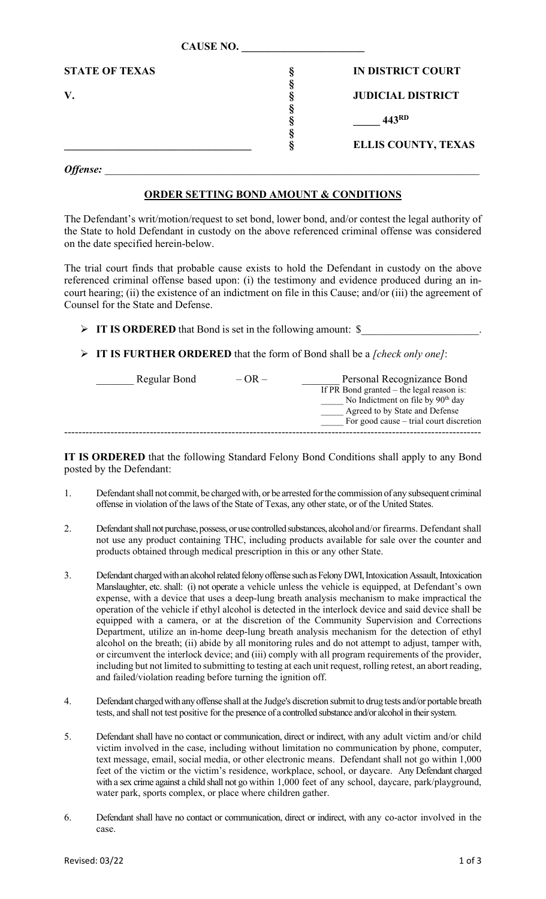| <u> UISUNU 1100</u>   |  |                            |
|-----------------------|--|----------------------------|
| <b>STATE OF TEXAS</b> |  | IN DISTRICT COURT          |
|                       |  | <b>JUDICIAL DISTRICT</b>   |
|                       |  | 443RD                      |
|                       |  |                            |
|                       |  | <b>ELLIS COUNTY, TEXAS</b> |

**CAUSE NO. \_\_\_\_\_\_\_\_\_\_\_\_\_\_\_\_\_\_\_\_\_\_\_**

*Offense:* \_\_\_\_\_\_\_\_\_\_\_\_\_\_\_\_\_\_\_\_\_\_\_\_\_\_\_\_\_\_\_\_\_\_\_\_\_\_\_\_\_\_\_\_\_\_\_\_\_\_\_\_\_\_\_\_\_\_\_\_\_\_\_\_\_\_\_\_\_\_

## **ORDER SETTING BOND AMOUNT & CONDITIONS**

The Defendant's writ/motion/request to set bond, lower bond, and/or contest the legal authority of the State to hold Defendant in custody on the above referenced criminal offense was considered on the date specified herein-below.

The trial court finds that probable cause exists to hold the Defendant in custody on the above referenced criminal offense based upon: (i) the testimony and evidence produced during an incourt hearing; (ii) the existence of an indictment on file in this Cause; and/or (iii) the agreement of Counsel for the State and Defense.

- **IT IS ORDERED** that Bond is set in the following amount: \$\_\_\_\_\_\_\_\_\_\_\_\_\_\_\_\_\_\_\_\_\_\_.
- **IT IS FURTHER ORDERED** that the form of Bond shall be a *[check only one]*:

| Regular Bond | $-$ OR $-$ | Personal Recognizance Bond                    |
|--------------|------------|-----------------------------------------------|
|              |            | If PR Bond granted $-$ the legal reason is:   |
|              |            | No Indictment on file by 90 <sup>th</sup> day |
|              |            | Agreed to by State and Defense                |
|              |            | For good cause – trial court discretion       |
|              |            |                                               |

**IT IS ORDERED** that the following Standard Felony Bond Conditions shall apply to any Bond posted by the Defendant:

- 1. Defendant shall not commit, be charged with, or be arrested for the commission of any subsequent criminal offense in violation of the laws of the State of Texas, any other state, or of the United States.
- 2. Defendant shall not purchase, possess, or use controlled substances, alcohol and/or firearms. Defendant shall not use any product containing THC, including products available for sale over the counter and products obtained through medical prescription in this or any other State.
- 3. Defendant charged with an alcohol related felony offense such as Felony DWI, Intoxication Assault, Intoxication Manslaughter, etc. shall: (i) not operate a vehicle unless the vehicle is equipped, at Defendant's own expense, with a device that uses a deep-lung breath analysis mechanism to make impractical the operation of the vehicle if ethyl alcohol is detected in the interlock device and said device shall be equipped with a camera, or at the discretion of the Community Supervision and Corrections Department, utilize an in-home deep-lung breath analysis mechanism for the detection of ethyl alcohol on the breath; (ii) abide by all monitoring rules and do not attempt to adjust, tamper with, or circumvent the interlock device; and (iii) comply with all program requirements of the provider, including but not limited to submitting to testing at each unit request, rolling retest, an abort reading, and failed/violation reading before turning the ignition off.
- 4. Defendant charged with any offense shall at the Judge's discretion submit to drug tests and/or portable breath tests, and shall not test positive for the presence of a controlled substance and/or alcohol in their system.
- 5. Defendant shall have no contact or communication, direct or indirect, with any adult victim and/or child victim involved in the case, including without limitation no communication by phone, computer, text message, email, social media, or other electronic means. Defendant shall not go within 1,000 feet of the victim or the victim's residence, workplace, school, or daycare. Any Defendant charged with a sex crime against a child shall not go within 1,000 feet of any school, daycare, park/playground, water park, sports complex, or place where children gather.
- 6. Defendant shall have no contact or communication, direct or indirect, with any co-actor involved in the case.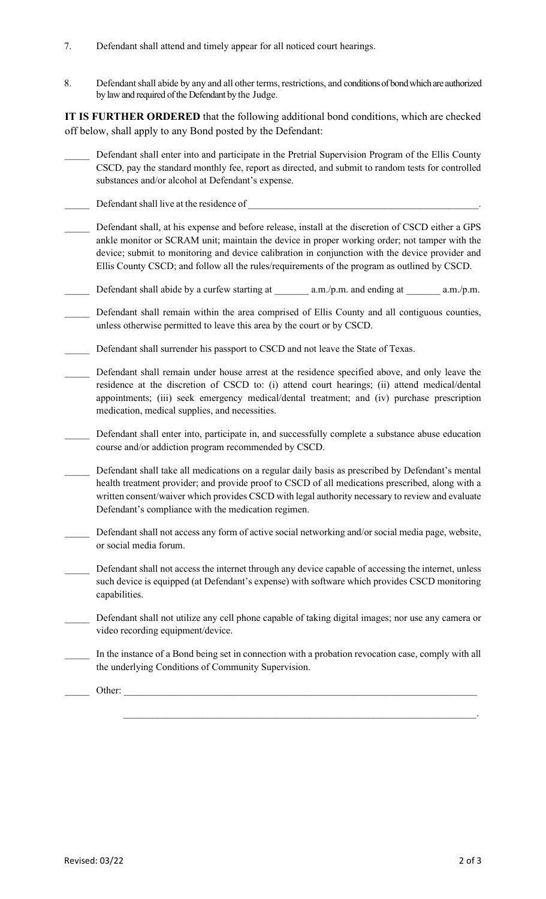- 7. Defendant shall attend and timely appear for all noticed court hearings.
- 8. Defendant shall abide by any and all other terms, restrictions, and conditions of bond which are authorized by law and required of the Defendant by the Judge.

**IT IS FURTHER ORDERED** that the following additional bond conditions, which are checked off below, shall apply to any Bond posted by the Defendant:

- Defendant shall enter into and participate in the Pretrial Supervision Program of the Ellis County CSCD, pay the standard monthly fee, report as directed, and submit to random tests for controlled substances and/or alcohol at Defendant's expense.
- Defendant shall live at the residence of
- Defendant shall, at his expense and before release, install at the discretion of CSCD either a GPS ankle monitor or SCRAM unit; maintain the device in proper working order; not tamper with the device; submit to monitoring and device calibration in conjunction with the device provider and Ellis County CSCD; and follow all the rules/requirements of the program as outlined by CSCD.
- Defendant shall abide by a curfew starting at  $a.m./p.m.$  and ending at  $a.m./p.m.$
- Defendant shall remain within the area comprised of Ellis County and all contiguous counties, unless otherwise permitted to leave this area by the court or by CSCD.
- Defendant shall surrender his passport to CSCD and not leave the State of Texas.
- Defendant shall remain under house arrest at the residence specified above, and only leave the residence at the discretion of CSCD to: (i) attend court hearings; (ii) attend medical/dental appointments; (iii) seek emergency medical/dental treatment; and (iv) purchase prescription medication, medical supplies, and necessities.
- Defendant shall enter into, participate in, and successfully complete a substance abuse education course and/or addiction program recommended by CSCD.
- Defendant shall take all medications on a regular daily basis as prescribed by Defendant's mental health treatment provider; and provide proof to CSCD of all medications prescribed, along with a written consent/waiver which provides CSCD with legal authority necessary to review and evaluate Defendant's compliance with the medication regimen.
- Defendant shall not access any form of active social networking and/or social media page, website, or social media forum.
- Defendant shall not access the internet through any device capable of accessing the internet, unless such device is equipped (at Defendant's expense) with software which provides CSCD monitoring capabilities.
- Defendant shall not utilize any cell phone capable of taking digital images; nor use any camera or video recording equipment/device.
- \_\_\_\_\_ In the instance of a Bond being set in connection with a probation revocation case, comply with all the underlying Conditions of Community Supervision.

 $\mathcal{L}_\mathcal{L} = \sum_{i=1}^n \mathcal{L}_i \mathcal{L}_i \mathcal{L}_i \mathcal{L}_i \mathcal{L}_i \mathcal{L}_i \mathcal{L}_i \mathcal{L}_i \mathcal{L}_i \mathcal{L}_i \mathcal{L}_i \mathcal{L}_i \mathcal{L}_i \mathcal{L}_i \mathcal{L}_i \mathcal{L}_i \mathcal{L}_i \mathcal{L}_i \mathcal{L}_i \mathcal{L}_i \mathcal{L}_i \mathcal{L}_i \mathcal{L}_i \mathcal{L}_i \mathcal{L}_i \mathcal{L}_i \mathcal{L}_i \mathcal{L}_i \math$ 

\_\_\_\_\_ Other: \_\_\_\_\_\_\_\_\_\_\_\_\_\_\_\_\_\_\_\_\_\_\_\_\_\_\_\_\_\_\_\_\_\_\_\_\_\_\_\_\_\_\_\_\_\_\_\_\_\_\_\_\_\_\_\_\_\_\_\_\_\_\_\_\_\_\_\_\_\_\_\_